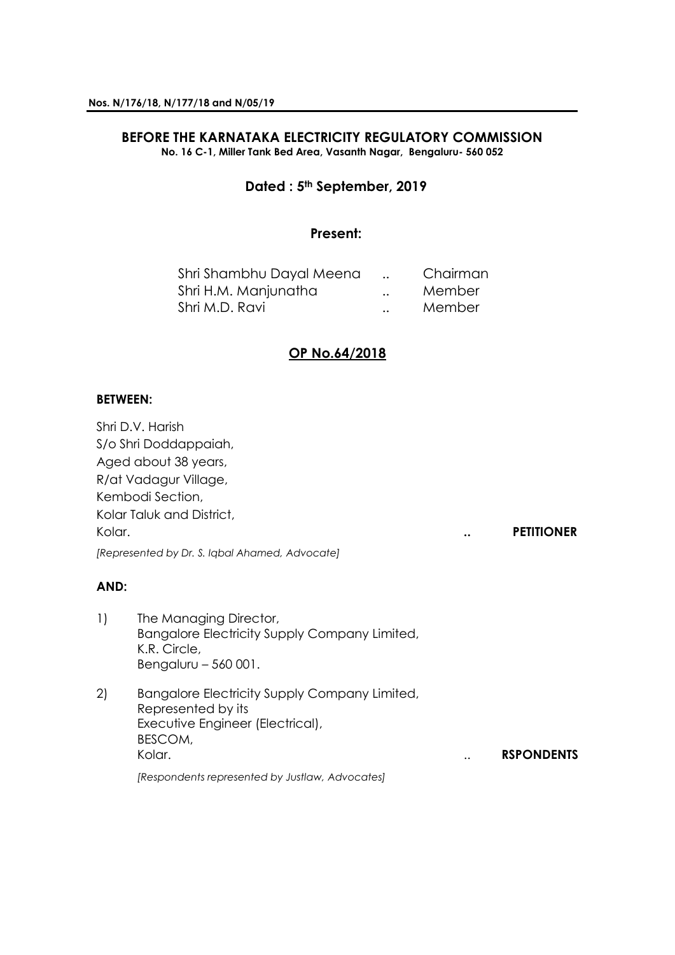#### **BEFORE THE KARNATAKA ELECTRICITY REGULATORY COMMISSION No. 16 C-1, Miller Tank Bed Area, Vasanth Nagar, Bengaluru- 560 052**

# **Dated : 5th September, 2019**

# **Present:**

| Shri Shambhu Dayal Meena |           | Chairman |
|--------------------------|-----------|----------|
| Shri H.M. Manjunatha     | $\ddotsc$ | Member   |
| Shri M.D. Ravi           | $\ddotsc$ | Member   |

# **OP No.64/2018**

## **BETWEEN:**

Shri D.V. Harish S/o Shri Doddappaiah, Aged about 38 years, R/at Vadagur Village, Kembodi Section, Kolar Taluk and District, Kolar. **.. PETITIONER** *[Represented by Dr. S. Iqbal Ahamed, Advocate]*

#### **AND:**

- 1) The Managing Director, Bangalore Electricity Supply Company Limited, K.R. Circle, Bengaluru – 560 001.
- 2) Bangalore Electricity Supply Company Limited, Represented by its Executive Engineer (Electrical), BESCOM, Kolar. .. **RSPONDENTS**

*[Respondents represented by Justlaw, Advocates]*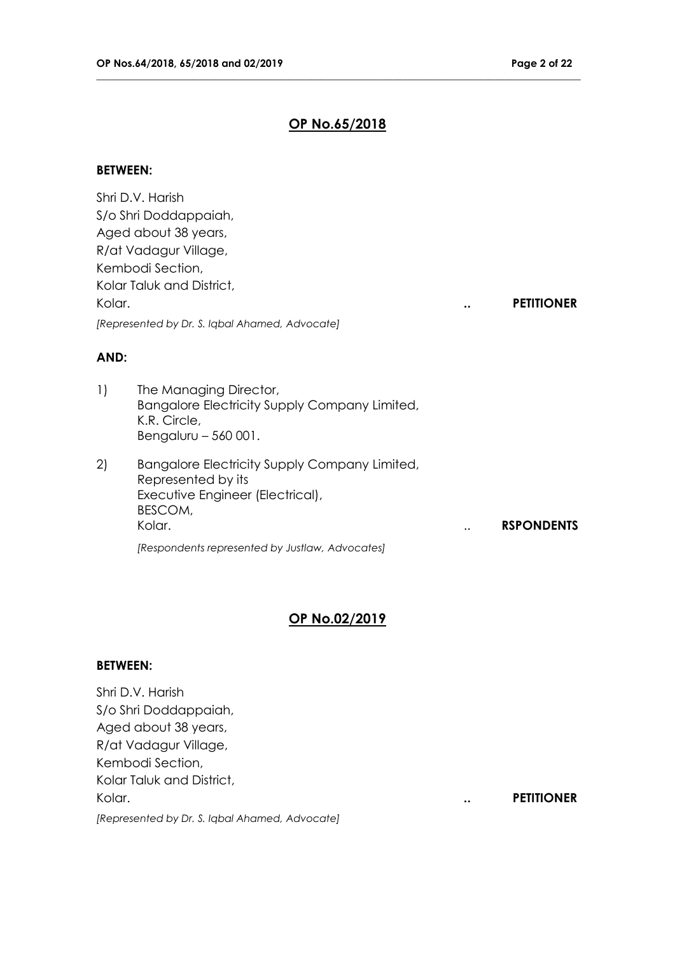## **OP No.65/2018**

**\_\_\_\_\_\_\_\_\_\_\_\_\_\_\_\_\_\_\_\_\_\_\_\_\_\_\_\_\_\_\_\_\_\_\_\_\_\_\_\_\_\_\_\_\_\_\_\_\_\_\_\_\_\_\_\_\_\_\_\_\_\_\_\_\_\_\_\_\_\_\_\_\_\_\_\_\_\_\_\_\_\_\_\_\_\_\_\_\_\_\_\_\_\_\_**

#### **BETWEEN:**

Shri D.V. Harish S/o Shri Doddappaiah, Aged about 38 years, R/at Vadagur Village, Kembodi Section, Kolar Taluk and District, Kolar. **.. PETITIONER** *[Represented by Dr. S. Iqbal Ahamed, Advocate]*

# **AND:**

- 1) The Managing Director, Bangalore Electricity Supply Company Limited, K.R. Circle, Bengaluru – 560 001.
- 2) Bangalore Electricity Supply Company Limited, Represented by its Executive Engineer (Electrical), BESCOM, Kolar. .. **RSPONDENTS** *[Respondents represented by Justlaw, Advocates]*

# **OP No.02/2019**

### **BETWEEN:**

Shri D.V. Harish S/o Shri Doddappaiah, Aged about 38 years, R/at Vadagur Village, Kembodi Section, Kolar Taluk and District, Kolar. **.. PETITIONER**

*[Represented by Dr. S. Iqbal Ahamed, Advocate]*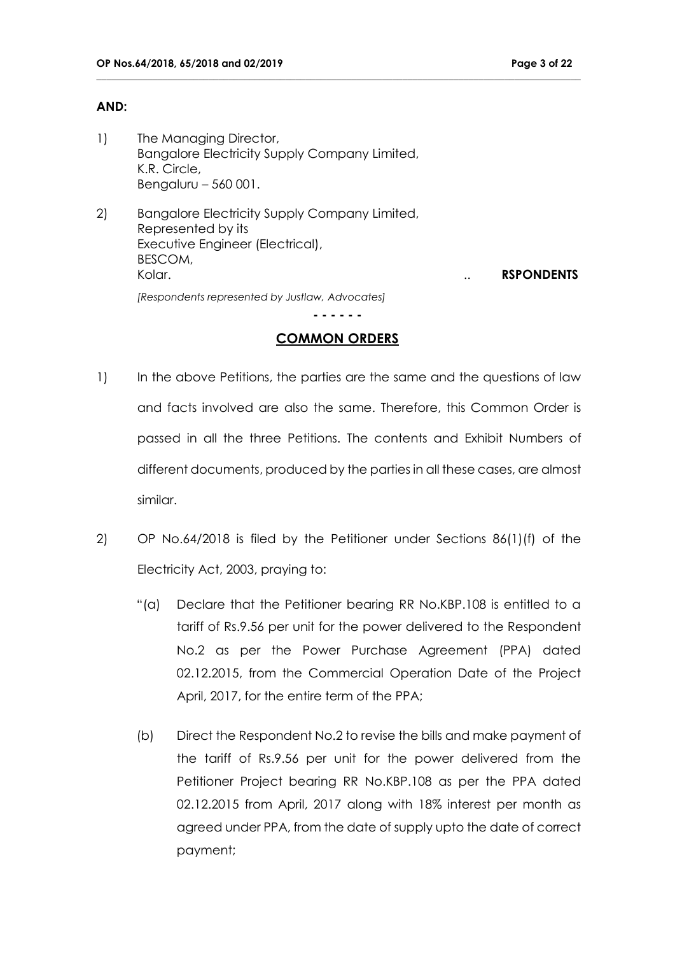## **AND:**

- 1) The Managing Director, Bangalore Electricity Supply Company Limited, K.R. Circle, Bengaluru – 560 001.
- 2) Bangalore Electricity Supply Company Limited, Represented by its Executive Engineer (Electrical), BESCOM, Kolar. .. **RSPONDENTS** *[Respondents represented by Justlaw, Advocates]*

# **COMMON ORDERS**

**- - - - - -**

- 1) In the above Petitions, the parties are the same and the questions of law and facts involved are also the same. Therefore, this Common Order is passed in all the three Petitions. The contents and Exhibit Numbers of different documents, produced by the parties in all these cases, are almost similar.
- 2) OP No.64/2018 is filed by the Petitioner under Sections 86(1)(f) of the Electricity Act, 2003, praying to:
	- "(a) Declare that the Petitioner bearing RR No.KBP.108 is entitled to a tariff of Rs.9.56 per unit for the power delivered to the Respondent No.2 as per the Power Purchase Agreement (PPA) dated 02.12.2015, from the Commercial Operation Date of the Project April, 2017, for the entire term of the PPA;
	- (b) Direct the Respondent No.2 to revise the bills and make payment of the tariff of Rs.9.56 per unit for the power delivered from the Petitioner Project bearing RR No.KBP.108 as per the PPA dated 02.12.2015 from April, 2017 along with 18% interest per month as agreed under PPA, from the date of supply upto the date of correct payment;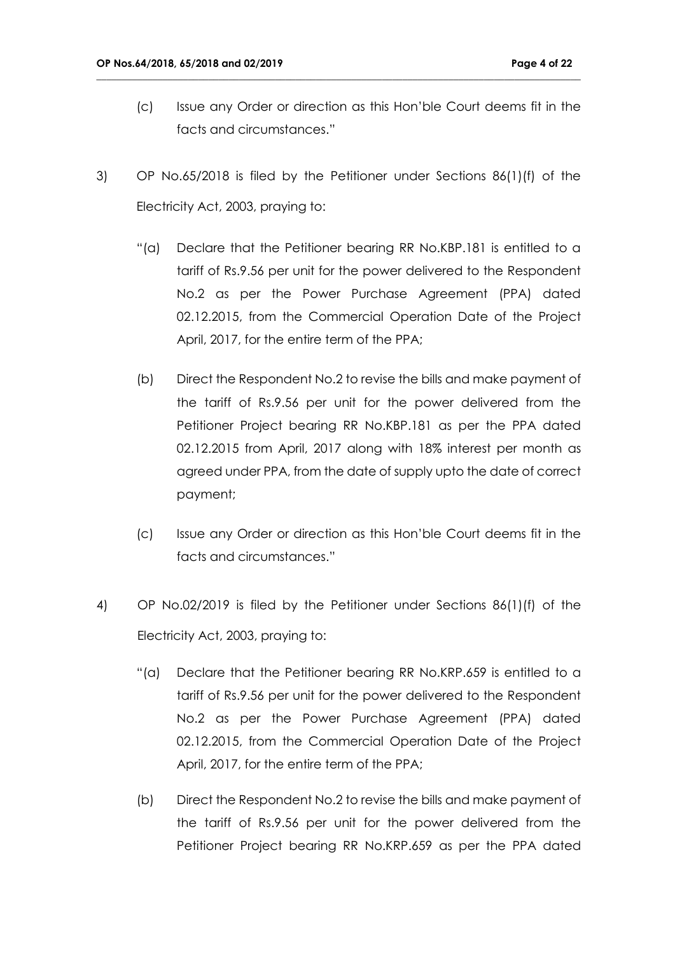- (c) Issue any Order or direction as this Hon'ble Court deems fit in the facts and circumstances."
- 3) OP No.65/2018 is filed by the Petitioner under Sections 86(1)(f) of the Electricity Act, 2003, praying to:

- "(a) Declare that the Petitioner bearing RR No.KBP.181 is entitled to a tariff of Rs.9.56 per unit for the power delivered to the Respondent No.2 as per the Power Purchase Agreement (PPA) dated 02.12.2015, from the Commercial Operation Date of the Project April, 2017, for the entire term of the PPA;
- (b) Direct the Respondent No.2 to revise the bills and make payment of the tariff of Rs.9.56 per unit for the power delivered from the Petitioner Project bearing RR No.KBP.181 as per the PPA dated 02.12.2015 from April, 2017 along with 18% interest per month as agreed under PPA, from the date of supply upto the date of correct payment;
- (c) Issue any Order or direction as this Hon'ble Court deems fit in the facts and circumstances."
- 4) OP No.02/2019 is filed by the Petitioner under Sections 86(1)(f) of the Electricity Act, 2003, praying to:
	- "(a) Declare that the Petitioner bearing RR No.KRP.659 is entitled to a tariff of Rs.9.56 per unit for the power delivered to the Respondent No.2 as per the Power Purchase Agreement (PPA) dated 02.12.2015, from the Commercial Operation Date of the Project April, 2017, for the entire term of the PPA;
	- (b) Direct the Respondent No.2 to revise the bills and make payment of the tariff of Rs.9.56 per unit for the power delivered from the Petitioner Project bearing RR No.KRP.659 as per the PPA dated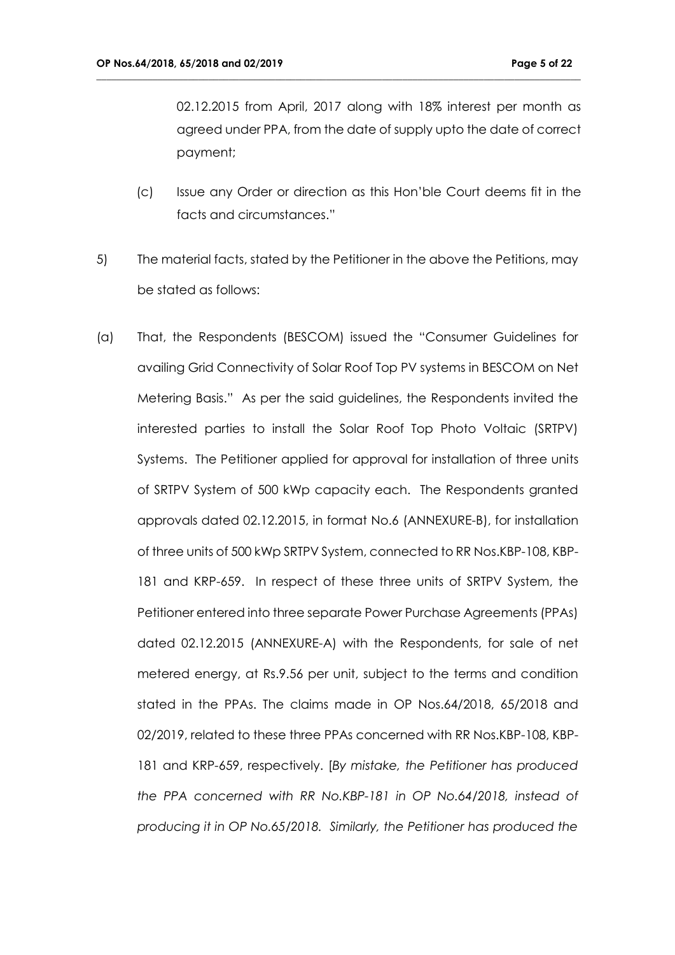02.12.2015 from April, 2017 along with 18% interest per month as agreed under PPA, from the date of supply upto the date of correct payment;

- (c) Issue any Order or direction as this Hon'ble Court deems fit in the facts and circumstances."
- 5) The material facts, stated by the Petitioner in the above the Petitions, may be stated as follows:

**\_\_\_\_\_\_\_\_\_\_\_\_\_\_\_\_\_\_\_\_\_\_\_\_\_\_\_\_\_\_\_\_\_\_\_\_\_\_\_\_\_\_\_\_\_\_\_\_\_\_\_\_\_\_\_\_\_\_\_\_\_\_\_\_\_\_\_\_\_\_\_\_\_\_\_\_\_\_\_\_\_\_\_\_\_\_\_\_\_\_\_\_\_\_\_**

(a) That, the Respondents (BESCOM) issued the "Consumer Guidelines for availing Grid Connectivity of Solar Roof Top PV systems in BESCOM on Net Metering Basis." As per the said guidelines, the Respondents invited the interested parties to install the Solar Roof Top Photo Voltaic (SRTPV) Systems. The Petitioner applied for approval for installation of three units of SRTPV System of 500 kWp capacity each. The Respondents granted approvals dated 02.12.2015, in format No.6 (ANNEXURE-B), for installation of three units of 500 kWp SRTPV System, connected to RR Nos.KBP-108, KBP-181 and KRP-659. In respect of these three units of SRTPV System, the Petitioner entered into three separate Power Purchase Agreements (PPAs) dated 02.12.2015 (ANNEXURE-A) with the Respondents, for sale of net metered energy, at Rs.9.56 per unit, subject to the terms and condition stated in the PPAs. The claims made in OP Nos.64/2018, 65/2018 and 02/2019, related to these three PPAs concerned with RR Nos.KBP-108, KBP-181 and KRP-659, respectively. [*By mistake, the Petitioner has produced the PPA concerned with RR No.KBP-181 in OP No.64/2018, instead of producing it in OP No.65/2018. Similarly, the Petitioner has produced the*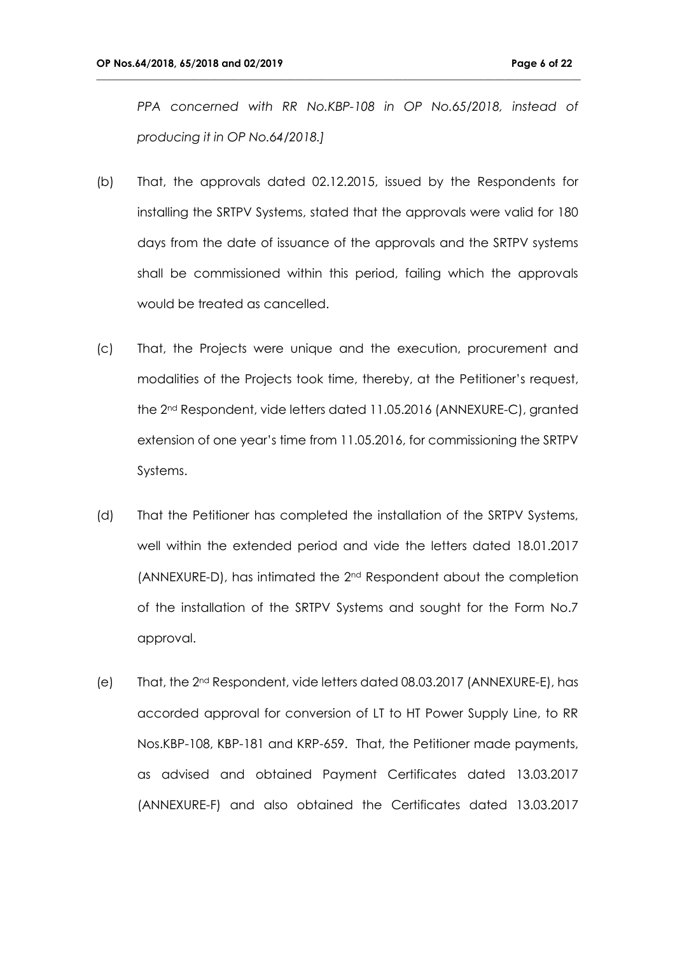*PPA concerned with RR No.KBP-108 in OP No.65/2018, instead of producing it in OP No.64/2018.]*

- (b) That, the approvals dated 02.12.2015, issued by the Respondents for installing the SRTPV Systems, stated that the approvals were valid for 180 days from the date of issuance of the approvals and the SRTPV systems shall be commissioned within this period, failing which the approvals would be treated as cancelled.
- (c) That, the Projects were unique and the execution, procurement and modalities of the Projects took time, thereby, at the Petitioner's request, the 2nd Respondent, vide letters dated 11.05.2016 (ANNEXURE-C), granted extension of one year's time from 11.05.2016, for commissioning the SRTPV Systems.
- (d) That the Petitioner has completed the installation of the SRTPV Systems, well within the extended period and vide the letters dated 18.01.2017 (ANNEXURE-D), has intimated the 2nd Respondent about the completion of the installation of the SRTPV Systems and sought for the Form No.7 approval.
- (e) That, the 2nd Respondent, vide letters dated 08.03.2017 (ANNEXURE-E), has accorded approval for conversion of LT to HT Power Supply Line, to RR Nos.KBP-108, KBP-181 and KRP-659. That, the Petitioner made payments, as advised and obtained Payment Certificates dated 13.03.2017 (ANNEXURE-F) and also obtained the Certificates dated 13.03.2017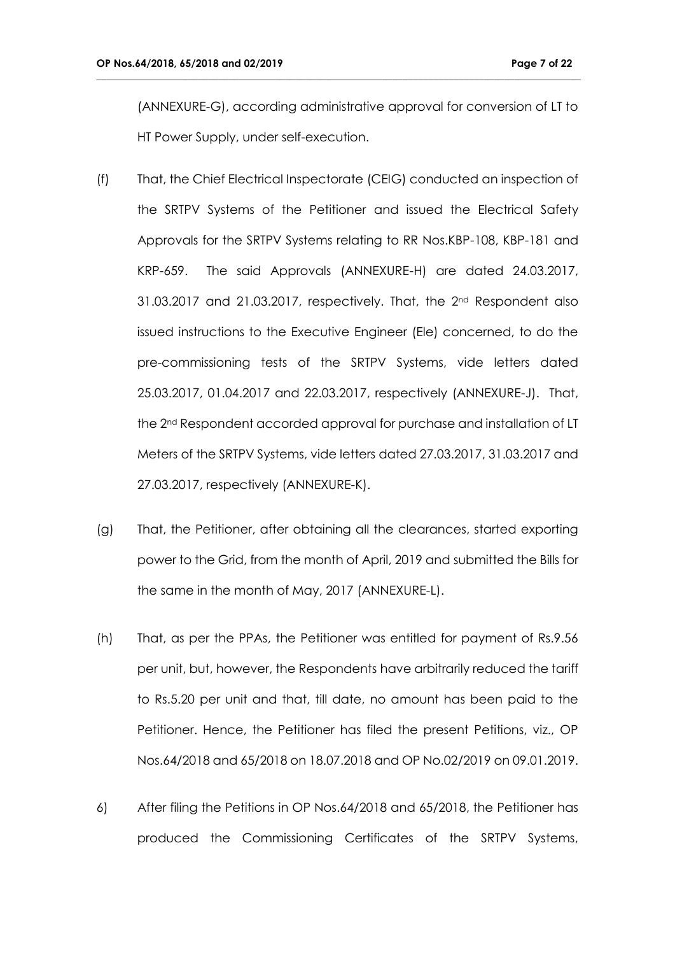(ANNEXURE-G), according administrative approval for conversion of LT to HT Power Supply, under self-execution.

- (f) That, the Chief Electrical Inspectorate (CEIG) conducted an inspection of the SRTPV Systems of the Petitioner and issued the Electrical Safety Approvals for the SRTPV Systems relating to RR Nos.KBP-108, KBP-181 and KRP-659. The said Approvals (ANNEXURE-H) are dated 24.03.2017,  $31.03.2017$  and  $21.03.2017$ , respectively. That, the  $2^{nd}$  Respondent also issued instructions to the Executive Engineer (Ele) concerned, to do the pre-commissioning tests of the SRTPV Systems, vide letters dated 25.03.2017, 01.04.2017 and 22.03.2017, respectively (ANNEXURE-J). That, the 2nd Respondent accorded approval for purchase and installation of LT Meters of the SRTPV Systems, vide letters dated 27.03.2017, 31.03.2017 and 27.03.2017, respectively (ANNEXURE-K).
- (g) That, the Petitioner, after obtaining all the clearances, started exporting power to the Grid, from the month of April, 2019 and submitted the Bills for the same in the month of May, 2017 (ANNEXURE-L).
- (h) That, as per the PPAs, the Petitioner was entitled for payment of Rs.9.56 per unit, but, however, the Respondents have arbitrarily reduced the tariff to Rs.5.20 per unit and that, till date, no amount has been paid to the Petitioner. Hence, the Petitioner has filed the present Petitions, viz., OP Nos.64/2018 and 65/2018 on 18.07.2018 and OP No.02/2019 on 09.01.2019.
- 6) After filing the Petitions in OP Nos.64/2018 and 65/2018, the Petitioner has produced the Commissioning Certificates of the SRTPV Systems,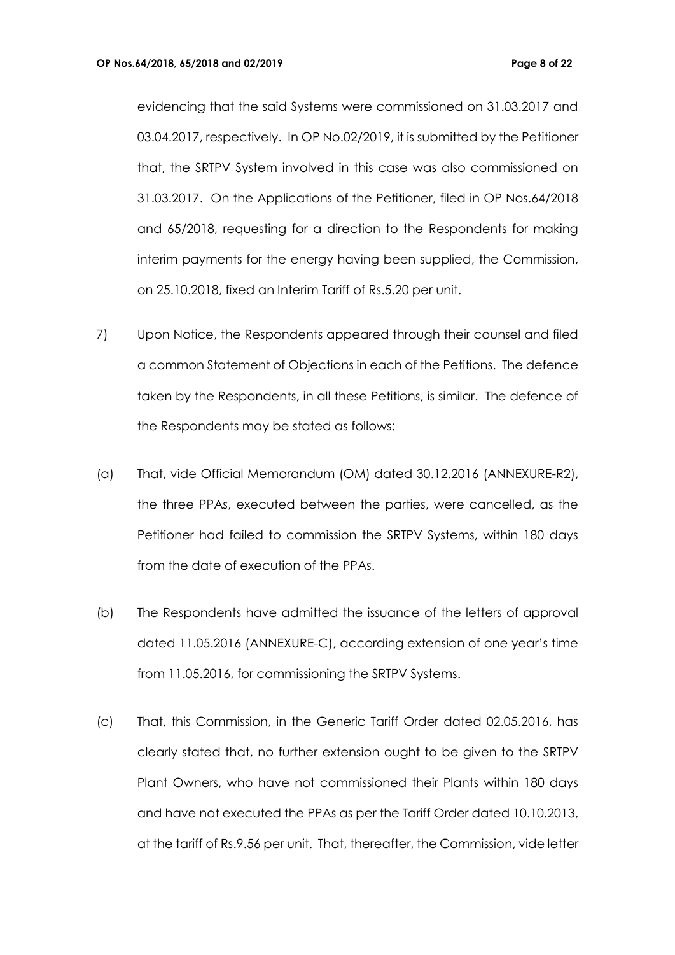evidencing that the said Systems were commissioned on 31.03.2017 and 03.04.2017, respectively. In OP No.02/2019, it is submitted by the Petitioner that, the SRTPV System involved in this case was also commissioned on 31.03.2017. On the Applications of the Petitioner, filed in OP Nos.64/2018 and 65/2018, requesting for a direction to the Respondents for making interim payments for the energy having been supplied, the Commission, on 25.10.2018, fixed an Interim Tariff of Rs.5.20 per unit.

- 7) Upon Notice, the Respondents appeared through their counsel and filed a common Statement of Objections in each of the Petitions. The defence taken by the Respondents, in all these Petitions, is similar. The defence of the Respondents may be stated as follows:
- (a) That, vide Official Memorandum (OM) dated 30.12.2016 (ANNEXURE-R2), the three PPAs, executed between the parties, were cancelled, as the Petitioner had failed to commission the SRTPV Systems, within 180 days from the date of execution of the PPAs.
- (b) The Respondents have admitted the issuance of the letters of approval dated 11.05.2016 (ANNEXURE-C), according extension of one year's time from 11.05.2016, for commissioning the SRTPV Systems.
- (c) That, this Commission, in the Generic Tariff Order dated 02.05.2016, has clearly stated that, no further extension ought to be given to the SRTPV Plant Owners, who have not commissioned their Plants within 180 days and have not executed the PPAs as per the Tariff Order dated 10.10.2013, at the tariff of Rs.9.56 per unit. That, thereafter, the Commission, vide letter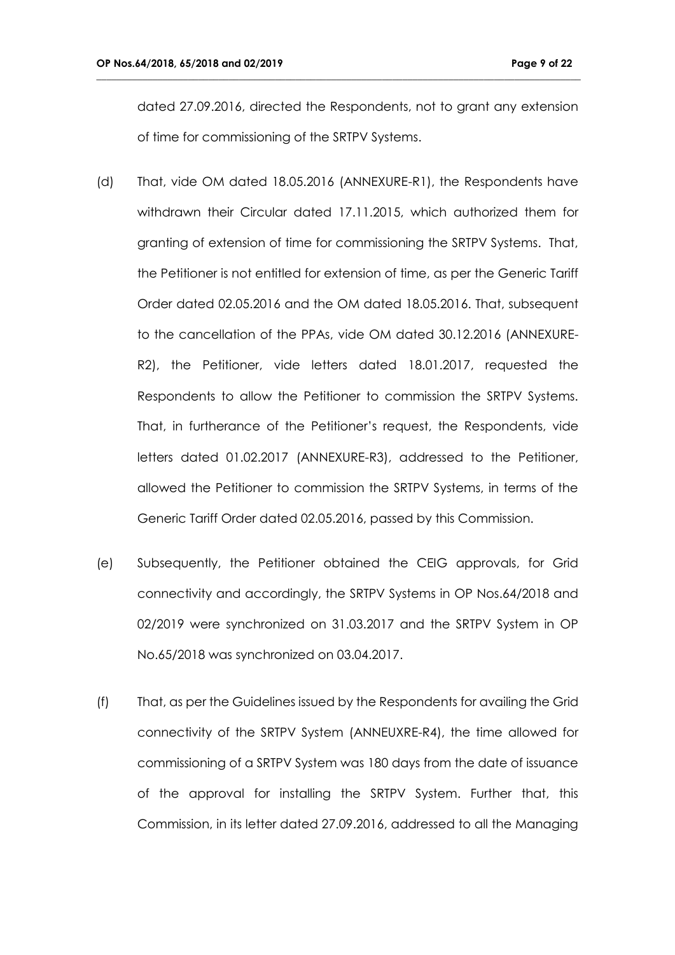dated 27.09.2016, directed the Respondents, not to grant any extension of time for commissioning of the SRTPV Systems.

- (d) That, vide OM dated 18.05.2016 (ANNEXURE-R1), the Respondents have withdrawn their Circular dated 17.11.2015, which authorized them for granting of extension of time for commissioning the SRTPV Systems. That, the Petitioner is not entitled for extension of time, as per the Generic Tariff Order dated 02.05.2016 and the OM dated 18.05.2016. That, subsequent to the cancellation of the PPAs, vide OM dated 30.12.2016 (ANNEXURE-R2), the Petitioner, vide letters dated 18.01.2017, requested the Respondents to allow the Petitioner to commission the SRTPV Systems. That, in furtherance of the Petitioner's request, the Respondents, vide letters dated 01.02.2017 (ANNEXURE-R3), addressed to the Petitioner, allowed the Petitioner to commission the SRTPV Systems, in terms of the Generic Tariff Order dated 02.05.2016, passed by this Commission.
- (e) Subsequently, the Petitioner obtained the CEIG approvals, for Grid connectivity and accordingly, the SRTPV Systems in OP Nos.64/2018 and 02/2019 were synchronized on 31.03.2017 and the SRTPV System in OP No.65/2018 was synchronized on 03.04.2017.
- (f) That, as per the Guidelines issued by the Respondents for availing the Grid connectivity of the SRTPV System (ANNEUXRE-R4), the time allowed for commissioning of a SRTPV System was 180 days from the date of issuance of the approval for installing the SRTPV System. Further that, this Commission, in its letter dated 27.09.2016, addressed to all the Managing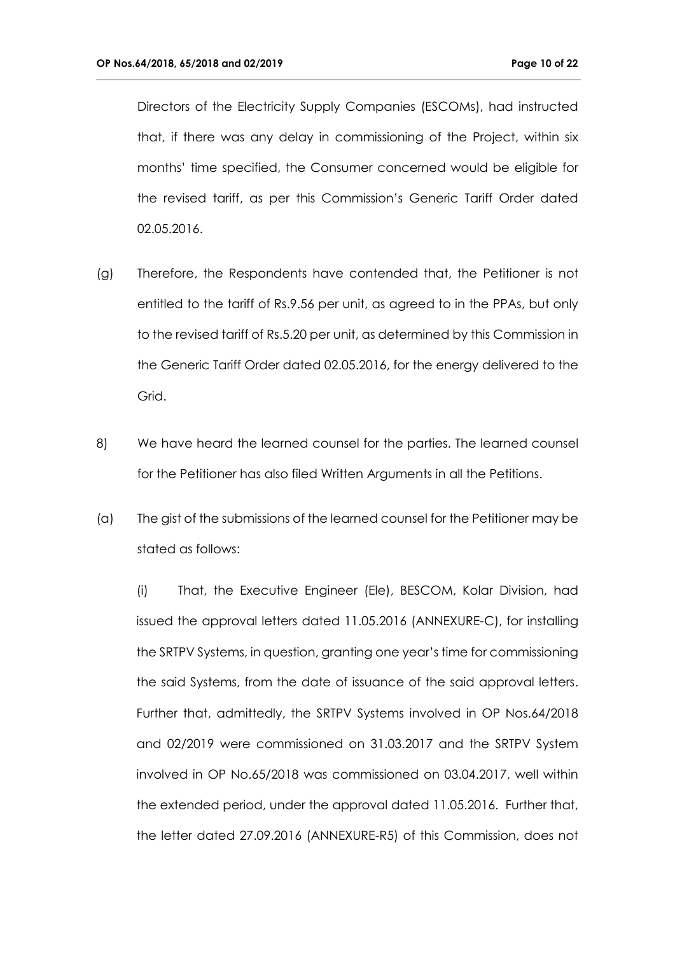Directors of the Electricity Supply Companies (ESCOMs), had instructed that, if there was any delay in commissioning of the Project, within six months' time specified, the Consumer concerned would be eligible for the revised tariff, as per this Commission's Generic Tariff Order dated 02.05.2016.

**\_\_\_\_\_\_\_\_\_\_\_\_\_\_\_\_\_\_\_\_\_\_\_\_\_\_\_\_\_\_\_\_\_\_\_\_\_\_\_\_\_\_\_\_\_\_\_\_\_\_\_\_\_\_\_\_\_\_\_\_\_\_\_\_\_\_\_\_\_\_\_\_\_\_\_\_\_\_\_\_\_\_\_\_\_\_\_\_\_\_\_\_\_\_\_**

- (g) Therefore, the Respondents have contended that, the Petitioner is not entitled to the tariff of Rs.9.56 per unit, as agreed to in the PPAs, but only to the revised tariff of Rs.5.20 per unit, as determined by this Commission in the Generic Tariff Order dated 02.05.2016, for the energy delivered to the Grid.
- 8) We have heard the learned counsel for the parties. The learned counsel for the Petitioner has also filed Written Arguments in all the Petitions.
- (a) The gist of the submissions of the learned counsel for the Petitioner may be stated as follows:

(i) That, the Executive Engineer (Ele), BESCOM, Kolar Division, had issued the approval letters dated 11.05.2016 (ANNEXURE-C), for installing the SRTPV Systems, in question, granting one year's time for commissioning the said Systems, from the date of issuance of the said approval letters. Further that, admittedly, the SRTPV Systems involved in OP Nos.64/2018 and 02/2019 were commissioned on 31.03.2017 and the SRTPV System involved in OP No.65/2018 was commissioned on 03.04.2017, well within the extended period, under the approval dated 11.05.2016. Further that, the letter dated 27.09.2016 (ANNEXURE-R5) of this Commission, does not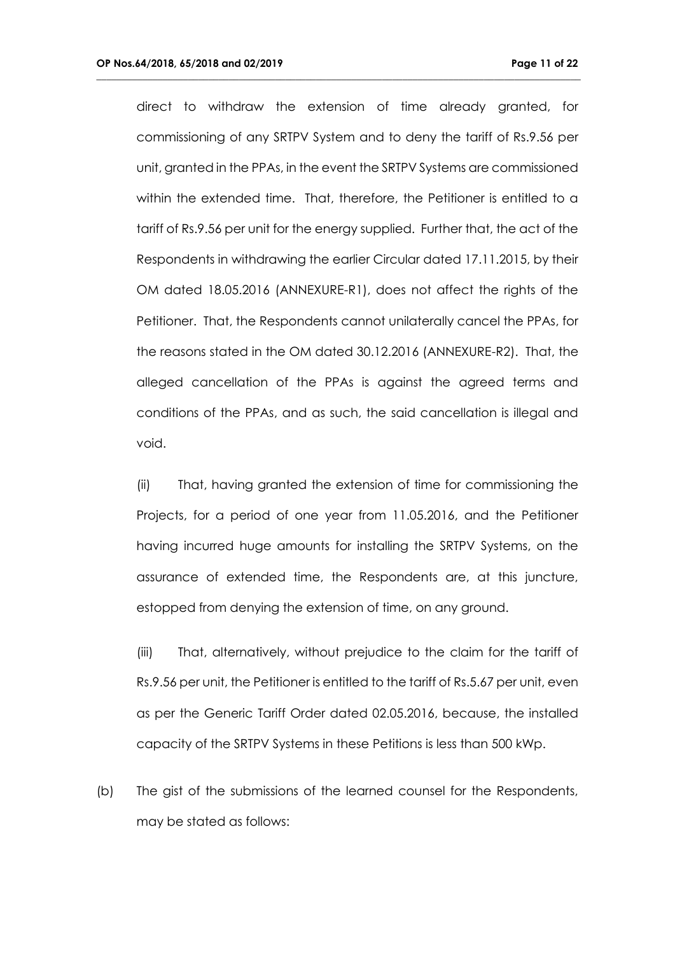direct to withdraw the extension of time already granted, for commissioning of any SRTPV System and to deny the tariff of Rs.9.56 per unit, granted in the PPAs, in the event the SRTPV Systems are commissioned within the extended time. That, therefore, the Petitioner is entitled to a tariff of Rs.9.56 per unit for the energy supplied. Further that, the act of the Respondents in withdrawing the earlier Circular dated 17.11.2015, by their OM dated 18.05.2016 (ANNEXURE-R1), does not affect the rights of the Petitioner. That, the Respondents cannot unilaterally cancel the PPAs, for the reasons stated in the OM dated 30.12.2016 (ANNEXURE-R2). That, the alleged cancellation of the PPAs is against the agreed terms and conditions of the PPAs, and as such, the said cancellation is illegal and void.

**\_\_\_\_\_\_\_\_\_\_\_\_\_\_\_\_\_\_\_\_\_\_\_\_\_\_\_\_\_\_\_\_\_\_\_\_\_\_\_\_\_\_\_\_\_\_\_\_\_\_\_\_\_\_\_\_\_\_\_\_\_\_\_\_\_\_\_\_\_\_\_\_\_\_\_\_\_\_\_\_\_\_\_\_\_\_\_\_\_\_\_\_\_\_\_**

(ii) That, having granted the extension of time for commissioning the Projects, for a period of one year from 11.05.2016, and the Petitioner having incurred huge amounts for installing the SRTPV Systems, on the assurance of extended time, the Respondents are, at this juncture, estopped from denying the extension of time, on any ground.

(iii) That, alternatively, without prejudice to the claim for the tariff of Rs.9.56 per unit, the Petitioner is entitled to the tariff of Rs.5.67 per unit, even as per the Generic Tariff Order dated 02.05.2016, because, the installed capacity of the SRTPV Systems in these Petitions is less than 500 kWp.

(b) The gist of the submissions of the learned counsel for the Respondents, may be stated as follows: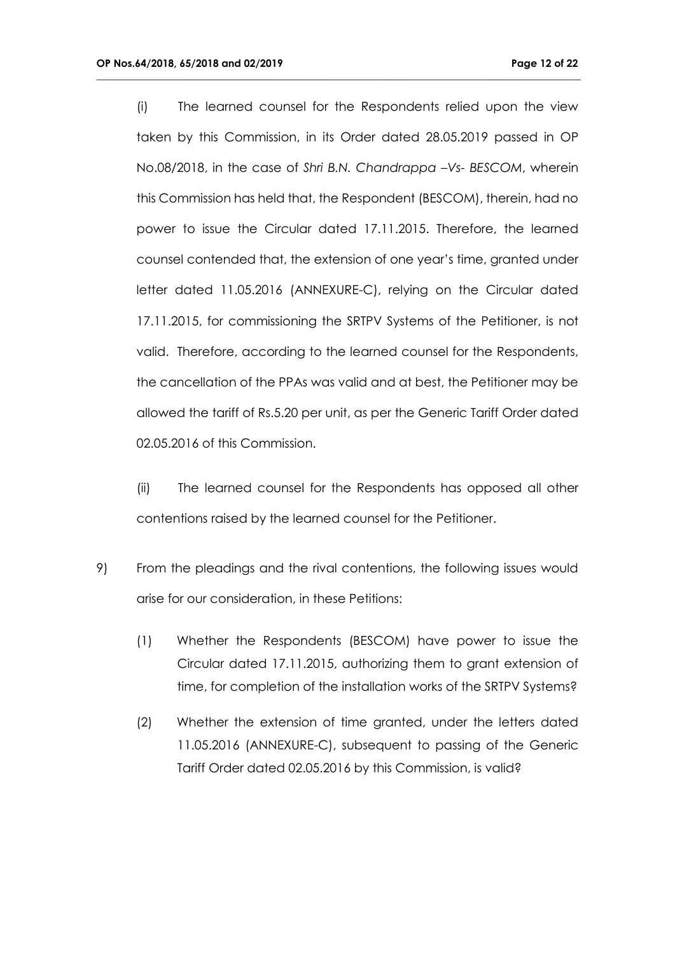(i) The learned counsel for the Respondents relied upon the view taken by this Commission, in its Order dated 28.05.2019 passed in OP No.08/2018, in the case of *Shri B.N. Chandrappa –Vs- BESCOM*, wherein this Commission has held that, the Respondent (BESCOM), therein, had no power to issue the Circular dated 17.11.2015. Therefore, the learned counsel contended that, the extension of one year's time, granted under letter dated 11.05.2016 (ANNEXURE-C), relying on the Circular dated 17.11.2015, for commissioning the SRTPV Systems of the Petitioner, is not valid. Therefore, according to the learned counsel for the Respondents, the cancellation of the PPAs was valid and at best, the Petitioner may be allowed the tariff of Rs.5.20 per unit, as per the Generic Tariff Order dated 02.05.2016 of this Commission.

**\_\_\_\_\_\_\_\_\_\_\_\_\_\_\_\_\_\_\_\_\_\_\_\_\_\_\_\_\_\_\_\_\_\_\_\_\_\_\_\_\_\_\_\_\_\_\_\_\_\_\_\_\_\_\_\_\_\_\_\_\_\_\_\_\_\_\_\_\_\_\_\_\_\_\_\_\_\_\_\_\_\_\_\_\_\_\_\_\_\_\_\_\_\_\_**

(ii) The learned counsel for the Respondents has opposed all other contentions raised by the learned counsel for the Petitioner.

- 9) From the pleadings and the rival contentions, the following issues would arise for our consideration, in these Petitions:
	- (1) Whether the Respondents (BESCOM) have power to issue the Circular dated 17.11.2015, authorizing them to grant extension of time, for completion of the installation works of the SRTPV Systems?
	- (2) Whether the extension of time granted, under the letters dated 11.05.2016 (ANNEXURE-C), subsequent to passing of the Generic Tariff Order dated 02.05.2016 by this Commission, is valid?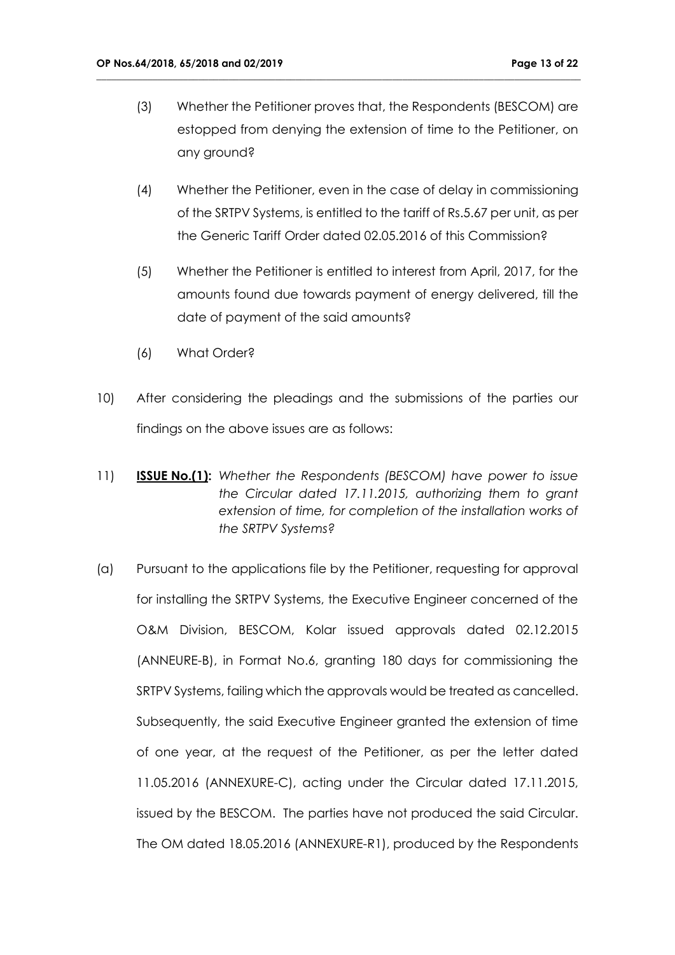(3) Whether the Petitioner proves that, the Respondents (BESCOM) are estopped from denying the extension of time to the Petitioner, on any ground?

- (4) Whether the Petitioner, even in the case of delay in commissioning of the SRTPV Systems, is entitled to the tariff of Rs.5.67 per unit, as per the Generic Tariff Order dated 02.05.2016 of this Commission?
- (5) Whether the Petitioner is entitled to interest from April, 2017, for the amounts found due towards payment of energy delivered, till the date of payment of the said amounts?
- (6) What Order?
- 10) After considering the pleadings and the submissions of the parties our findings on the above issues are as follows:
- 11) **ISSUE No.(1):** *Whether the Respondents (BESCOM) have power to issue the Circular dated 17.11.2015, authorizing them to grant extension of time, for completion of the installation works of the SRTPV Systems?*
- (a) Pursuant to the applications file by the Petitioner, requesting for approval for installing the SRTPV Systems, the Executive Engineer concerned of the O&M Division, BESCOM, Kolar issued approvals dated 02.12.2015 (ANNEURE-B), in Format No.6, granting 180 days for commissioning the SRTPV Systems, failing which the approvals would be treated as cancelled. Subsequently, the said Executive Engineer granted the extension of time of one year, at the request of the Petitioner, as per the letter dated 11.05.2016 (ANNEXURE-C), acting under the Circular dated 17.11.2015, issued by the BESCOM. The parties have not produced the said Circular. The OM dated 18.05.2016 (ANNEXURE-R1), produced by the Respondents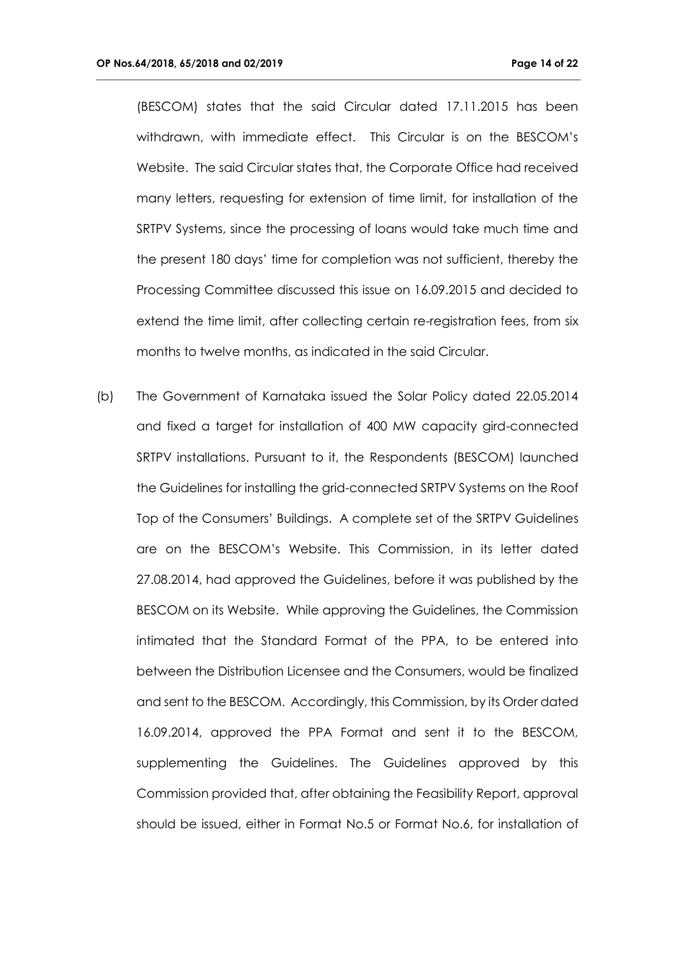(BESCOM) states that the said Circular dated 17.11.2015 has been withdrawn, with immediate effect. This Circular is on the BESCOM's Website. The said Circular states that, the Corporate Office had received many letters, requesting for extension of time limit, for installation of the SRTPV Systems, since the processing of loans would take much time and the present 180 days' time for completion was not sufficient, thereby the Processing Committee discussed this issue on 16.09.2015 and decided to extend the time limit, after collecting certain re-registration fees, from six months to twelve months, as indicated in the said Circular.

**\_\_\_\_\_\_\_\_\_\_\_\_\_\_\_\_\_\_\_\_\_\_\_\_\_\_\_\_\_\_\_\_\_\_\_\_\_\_\_\_\_\_\_\_\_\_\_\_\_\_\_\_\_\_\_\_\_\_\_\_\_\_\_\_\_\_\_\_\_\_\_\_\_\_\_\_\_\_\_\_\_\_\_\_\_\_\_\_\_\_\_\_\_\_\_**

(b) The Government of Karnataka issued the Solar Policy dated 22.05.2014 and fixed a target for installation of 400 MW capacity gird-connected SRTPV installations. Pursuant to it, the Respondents (BESCOM) launched the Guidelines for installing the grid-connected SRTPV Systems on the Roof Top of the Consumers' Buildings. A complete set of the SRTPV Guidelines are on the BESCOM's Website. This Commission, in its letter dated 27.08.2014, had approved the Guidelines, before it was published by the BESCOM on its Website. While approving the Guidelines, the Commission intimated that the Standard Format of the PPA, to be entered into between the Distribution Licensee and the Consumers, would be finalized and sent to the BESCOM. Accordingly, this Commission, by its Order dated 16.09.2014, approved the PPA Format and sent it to the BESCOM, supplementing the Guidelines. The Guidelines approved by this Commission provided that, after obtaining the Feasibility Report, approval should be issued, either in Format No.5 or Format No.6, for installation of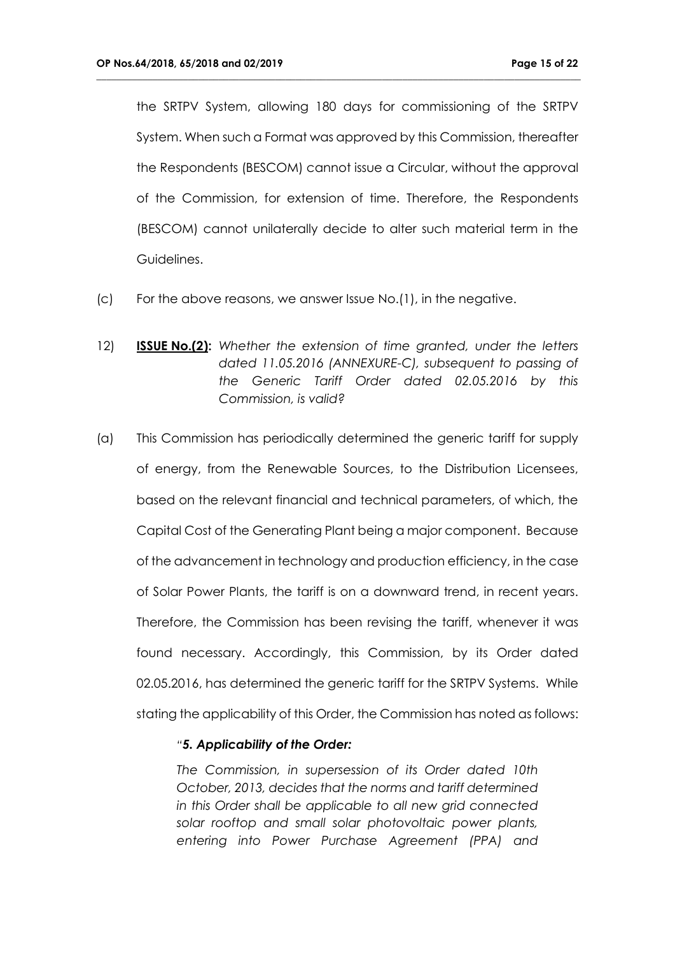the SRTPV System, allowing 180 days for commissioning of the SRTPV System. When such a Format was approved by this Commission, thereafter the Respondents (BESCOM) cannot issue a Circular, without the approval of the Commission, for extension of time. Therefore, the Respondents (BESCOM) cannot unilaterally decide to alter such material term in the Guidelines.

**\_\_\_\_\_\_\_\_\_\_\_\_\_\_\_\_\_\_\_\_\_\_\_\_\_\_\_\_\_\_\_\_\_\_\_\_\_\_\_\_\_\_\_\_\_\_\_\_\_\_\_\_\_\_\_\_\_\_\_\_\_\_\_\_\_\_\_\_\_\_\_\_\_\_\_\_\_\_\_\_\_\_\_\_\_\_\_\_\_\_\_\_\_\_\_**

- (c) For the above reasons, we answer Issue No.(1), in the negative.
- 12) **ISSUE No.(2):** *Whether the extension of time granted, under the letters dated 11.05.2016 (ANNEXURE-C), subsequent to passing of the Generic Tariff Order dated 02.05.2016 by this Commission, is valid?*
- (a) This Commission has periodically determined the generic tariff for supply of energy, from the Renewable Sources, to the Distribution Licensees, based on the relevant financial and technical parameters, of which, the Capital Cost of the Generating Plant being a major component. Because of the advancement in technology and production efficiency, in the case of Solar Power Plants, the tariff is on a downward trend, in recent years. Therefore, the Commission has been revising the tariff, whenever it was found necessary. Accordingly, this Commission, by its Order dated 02.05.2016, has determined the generic tariff for the SRTPV Systems. While stating the applicability of this Order, the Commission has noted as follows:

#### *"5. Applicability of the Order:*

*The Commission, in supersession of its Order dated 10th October, 2013, decides that the norms and tariff determined in this Order shall be applicable to all new grid connected solar rooftop and small solar photovoltaic power plants, entering into Power Purchase Agreement (PPA) and*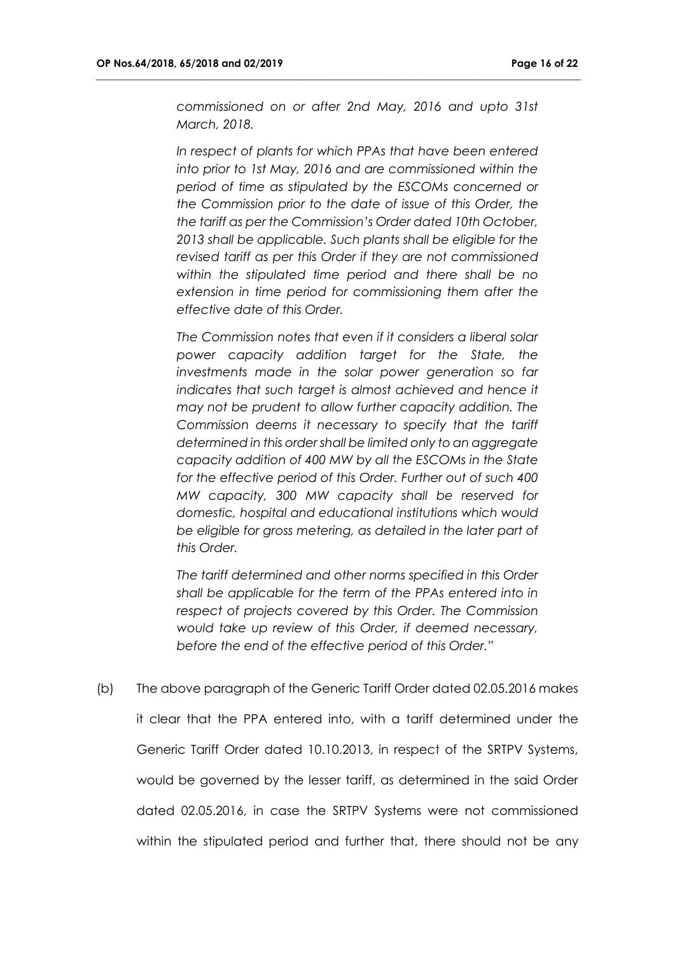*commissioned on or after 2nd May, 2016 and upto 31st March, 2018.* 

**\_\_\_\_\_\_\_\_\_\_\_\_\_\_\_\_\_\_\_\_\_\_\_\_\_\_\_\_\_\_\_\_\_\_\_\_\_\_\_\_\_\_\_\_\_\_\_\_\_\_\_\_\_\_\_\_\_\_\_\_\_\_\_\_\_\_\_\_\_\_\_\_\_\_\_\_\_\_\_\_\_\_\_\_\_\_\_\_\_\_\_\_\_\_\_**

*In respect of plants for which PPAs that have been entered into prior to 1st May, 2016 and are commissioned within the period of time as stipulated by the ESCOMs concerned or the Commission prior to the date of issue of this Order, the the tariff as per the Commission's Order dated 10th October, 2013 shall be applicable. Such plants shall be eligible for the revised tariff as per this Order if they are not commissioned within the stipulated time period and there shall be no extension in time period for commissioning them after the effective date of this Order.*

*The Commission notes that even if it considers a liberal solar power capacity addition target for the State, the investments made in the solar power generation so far*  indicates that such target is almost achieved and hence it *may not be prudent to allow further capacity addition. The Commission deems it necessary to specify that the tariff determined in this order shall be limited only to an aggregate capacity addition of 400 MW by all the ESCOMs in the State for the effective period of this Order. Further out of such 400 MW capacity, 300 MW capacity shall be reserved for domestic, hospital and educational institutions which would be eligible for gross metering, as detailed in the later part of this Order.* 

*The tariff determined and other norms specified in this Order shall be applicable for the term of the PPAs entered into in respect of projects covered by this Order. The Commission would take up review of this Order, if deemed necessary, before the end of the effective period of this Order."*

(b) The above paragraph of the Generic Tariff Order dated 02.05.2016 makes it clear that the PPA entered into, with a tariff determined under the Generic Tariff Order dated 10.10.2013, in respect of the SRTPV Systems, would be governed by the lesser tariff, as determined in the said Order dated 02.05.2016, in case the SRTPV Systems were not commissioned within the stipulated period and further that, there should not be any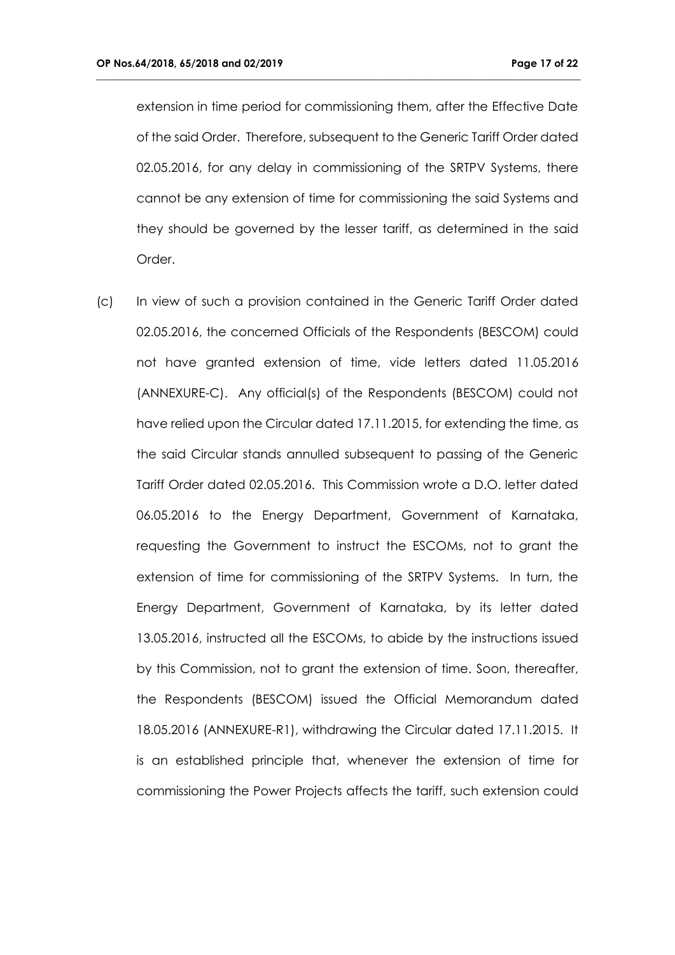extension in time period for commissioning them, after the Effective Date of the said Order. Therefore, subsequent to the Generic Tariff Order dated 02.05.2016, for any delay in commissioning of the SRTPV Systems, there cannot be any extension of time for commissioning the said Systems and they should be governed by the lesser tariff, as determined in the said Order.

**\_\_\_\_\_\_\_\_\_\_\_\_\_\_\_\_\_\_\_\_\_\_\_\_\_\_\_\_\_\_\_\_\_\_\_\_\_\_\_\_\_\_\_\_\_\_\_\_\_\_\_\_\_\_\_\_\_\_\_\_\_\_\_\_\_\_\_\_\_\_\_\_\_\_\_\_\_\_\_\_\_\_\_\_\_\_\_\_\_\_\_\_\_\_\_**

(c) In view of such a provision contained in the Generic Tariff Order dated 02.05.2016, the concerned Officials of the Respondents (BESCOM) could not have granted extension of time, vide letters dated 11.05.2016 (ANNEXURE-C). Any official(s) of the Respondents (BESCOM) could not have relied upon the Circular dated 17.11.2015, for extending the time, as the said Circular stands annulled subsequent to passing of the Generic Tariff Order dated 02.05.2016. This Commission wrote a D.O. letter dated 06.05.2016 to the Energy Department, Government of Karnataka, requesting the Government to instruct the ESCOMs, not to grant the extension of time for commissioning of the SRTPV Systems. In turn, the Energy Department, Government of Karnataka, by its letter dated 13.05.2016, instructed all the ESCOMs, to abide by the instructions issued by this Commission, not to grant the extension of time. Soon, thereafter, the Respondents (BESCOM) issued the Official Memorandum dated 18.05.2016 (ANNEXURE-R1), withdrawing the Circular dated 17.11.2015. It is an established principle that, whenever the extension of time for commissioning the Power Projects affects the tariff, such extension could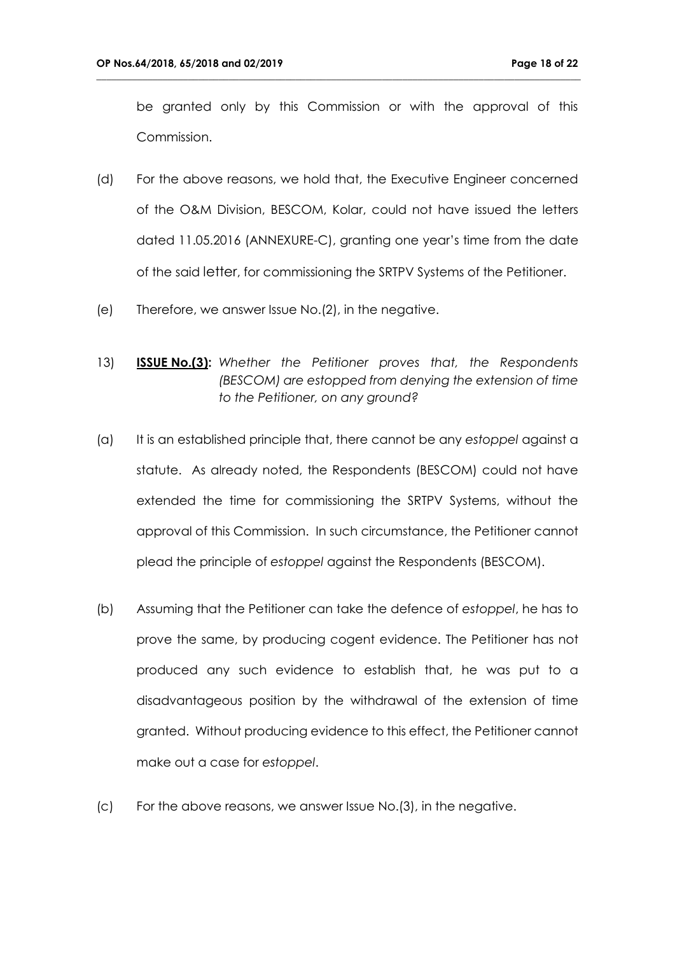be granted only by this Commission or with the approval of this Commission.

- (d) For the above reasons, we hold that, the Executive Engineer concerned of the O&M Division, BESCOM, Kolar, could not have issued the letters dated 11.05.2016 (ANNEXURE-C), granting one year's time from the date of the said letter, for commissioning the SRTPV Systems of the Petitioner.
- (e) Therefore, we answer Issue No.(2), in the negative.
- 13) **ISSUE No.(3):** *Whether the Petitioner proves that, the Respondents (BESCOM) are estopped from denying the extension of time to the Petitioner, on any ground?*
- (a) It is an established principle that, there cannot be any *estoppel* against a statute. As already noted, the Respondents (BESCOM) could not have extended the time for commissioning the SRTPV Systems, without the approval of this Commission. In such circumstance, the Petitioner cannot plead the principle of *estoppel* against the Respondents (BESCOM).
- (b) Assuming that the Petitioner can take the defence of *estoppel*, he has to prove the same, by producing cogent evidence. The Petitioner has not produced any such evidence to establish that, he was put to a disadvantageous position by the withdrawal of the extension of time granted. Without producing evidence to this effect, the Petitioner cannot make out a case for *estoppel*.
- (c) For the above reasons, we answer Issue No.(3), in the negative.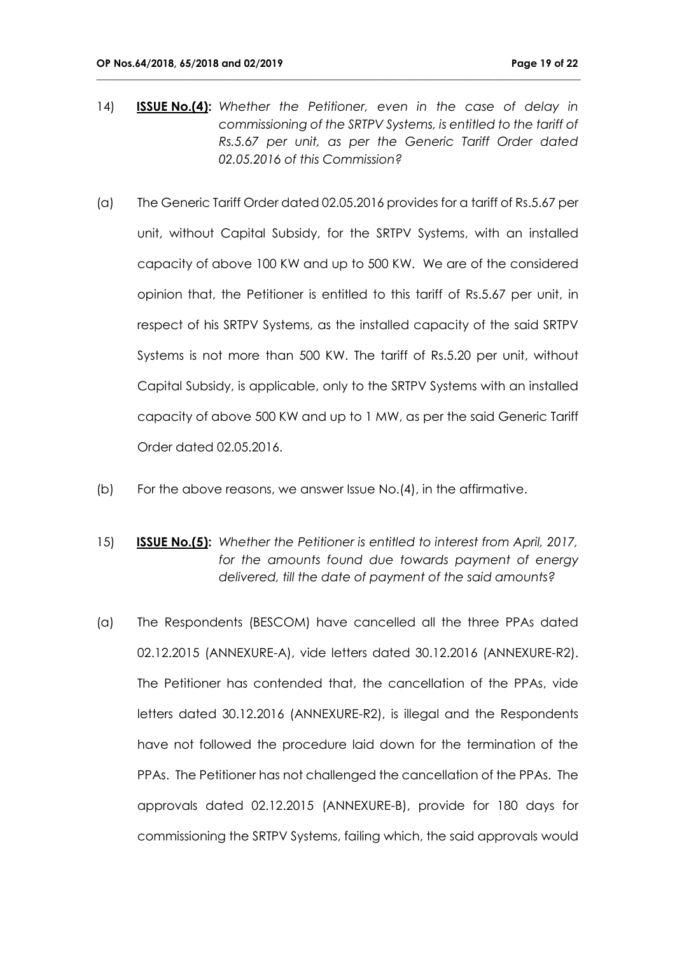14) **ISSUE No.(4):** *Whether the Petitioner, even in the case of delay in commissioning of the SRTPV Systems, is entitled to the tariff of Rs.5.67 per unit, as per the Generic Tariff Order dated 02.05.2016 of this Commission?*

- (a) The Generic Tariff Order dated 02.05.2016 provides for a tariff of Rs.5.67 per unit, without Capital Subsidy, for the SRTPV Systems, with an installed capacity of above 100 KW and up to 500 KW. We are of the considered opinion that, the Petitioner is entitled to this tariff of Rs.5.67 per unit, in respect of his SRTPV Systems, as the installed capacity of the said SRTPV Systems is not more than 500 KW. The tariff of Rs.5.20 per unit, without Capital Subsidy, is applicable, only to the SRTPV Systems with an installed capacity of above 500 KW and up to 1 MW, as per the said Generic Tariff Order dated 02.05.2016.
- (b) For the above reasons, we answer Issue No.(4), in the affirmative.
- 15) **ISSUE No.(5):** *Whether the Petitioner is entitled to interest from April, 2017, for the amounts found due towards payment of energy delivered, till the date of payment of the said amounts?*
- (a) The Respondents (BESCOM) have cancelled all the three PPAs dated 02.12.2015 (ANNEXURE-A), vide letters dated 30.12.2016 (ANNEXURE-R2). The Petitioner has contended that, the cancellation of the PPAs, vide letters dated 30.12.2016 (ANNEXURE-R2), is illegal and the Respondents have not followed the procedure laid down for the termination of the PPAs. The Petitioner has not challenged the cancellation of the PPAs. The approvals dated 02.12.2015 (ANNEXURE-B), provide for 180 days for commissioning the SRTPV Systems, failing which, the said approvals would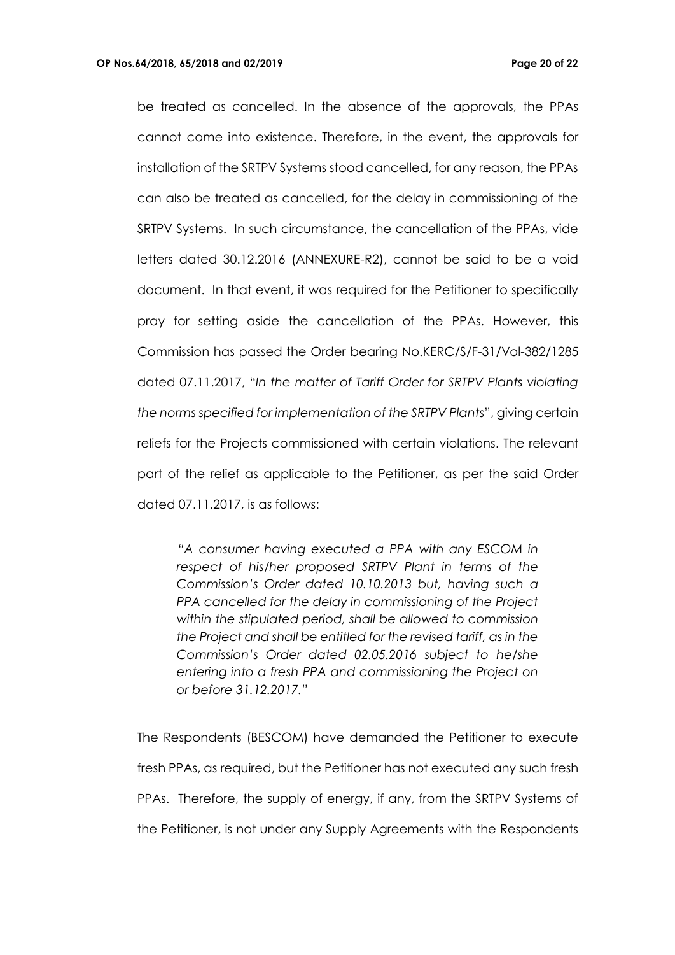be treated as cancelled. In the absence of the approvals, the PPAs cannot come into existence. Therefore, in the event, the approvals for installation of the SRTPV Systems stood cancelled, for any reason, the PPAs can also be treated as cancelled, for the delay in commissioning of the SRTPV Systems. In such circumstance, the cancellation of the PPAs, vide letters dated 30.12.2016 (ANNEXURE-R2), cannot be said to be a void document. In that event, it was required for the Petitioner to specifically pray for setting aside the cancellation of the PPAs. However, this Commission has passed the Order bearing No.KERC/S/F-31/Vol-382/1285 dated 07.11.2017, "*In the matter of Tariff Order for SRTPV Plants violating the norms specified for implementation of the SRTPV Plants*", giving certain reliefs for the Projects commissioned with certain violations. The relevant part of the relief as applicable to the Petitioner, as per the said Order dated 07.11.2017, is as follows:

**\_\_\_\_\_\_\_\_\_\_\_\_\_\_\_\_\_\_\_\_\_\_\_\_\_\_\_\_\_\_\_\_\_\_\_\_\_\_\_\_\_\_\_\_\_\_\_\_\_\_\_\_\_\_\_\_\_\_\_\_\_\_\_\_\_\_\_\_\_\_\_\_\_\_\_\_\_\_\_\_\_\_\_\_\_\_\_\_\_\_\_\_\_\_\_**

*"A consumer having executed a PPA with any ESCOM in respect of his/her proposed SRTPV Plant in terms of the Commission's Order dated 10.10.2013 but, having such a PPA cancelled for the delay in commissioning of the Project within the stipulated period, shall be allowed to commission the Project and shall be entitled for the revised tariff, as in the Commission's Order dated 02.05.2016 subject to he/she entering into a fresh PPA and commissioning the Project on or before 31.12.2017."*

The Respondents (BESCOM) have demanded the Petitioner to execute fresh PPAs, as required, but the Petitioner has not executed any such fresh PPAs. Therefore, the supply of energy, if any, from the SRTPV Systems of the Petitioner, is not under any Supply Agreements with the Respondents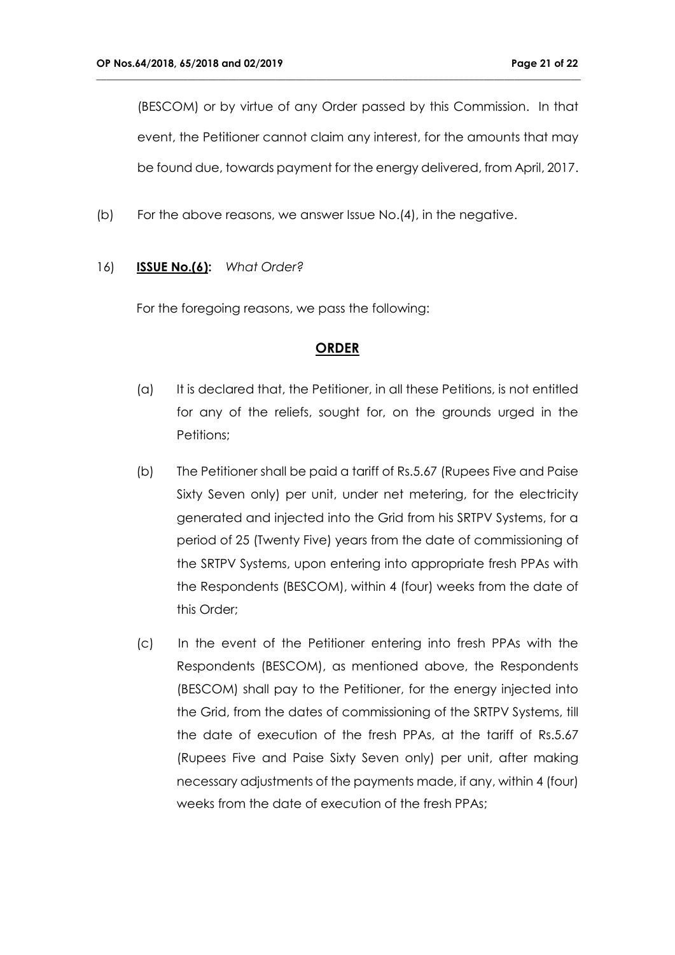(BESCOM) or by virtue of any Order passed by this Commission. In that event, the Petitioner cannot claim any interest, for the amounts that may be found due, towards payment for the energy delivered, from April, 2017.

**\_\_\_\_\_\_\_\_\_\_\_\_\_\_\_\_\_\_\_\_\_\_\_\_\_\_\_\_\_\_\_\_\_\_\_\_\_\_\_\_\_\_\_\_\_\_\_\_\_\_\_\_\_\_\_\_\_\_\_\_\_\_\_\_\_\_\_\_\_\_\_\_\_\_\_\_\_\_\_\_\_\_\_\_\_\_\_\_\_\_\_\_\_\_\_**

(b) For the above reasons, we answer Issue No.(4), in the negative.

#### 16) **ISSUE No.(6):** *What Order?*

For the foregoing reasons, we pass the following:

#### **ORDER**

- (a) It is declared that, the Petitioner, in all these Petitions, is not entitled for any of the reliefs, sought for, on the grounds urged in the Petitions;
- (b) The Petitioner shall be paid a tariff of Rs.5.67 (Rupees Five and Paise Sixty Seven only) per unit, under net metering, for the electricity generated and injected into the Grid from his SRTPV Systems, for a period of 25 (Twenty Five) years from the date of commissioning of the SRTPV Systems, upon entering into appropriate fresh PPAs with the Respondents (BESCOM), within 4 (four) weeks from the date of this Order;
- (c) In the event of the Petitioner entering into fresh PPAs with the Respondents (BESCOM), as mentioned above, the Respondents (BESCOM) shall pay to the Petitioner, for the energy injected into the Grid, from the dates of commissioning of the SRTPV Systems, till the date of execution of the fresh PPAs, at the tariff of Rs.5.67 (Rupees Five and Paise Sixty Seven only) per unit, after making necessary adjustments of the payments made, if any, within 4 (four) weeks from the date of execution of the fresh PPAs;